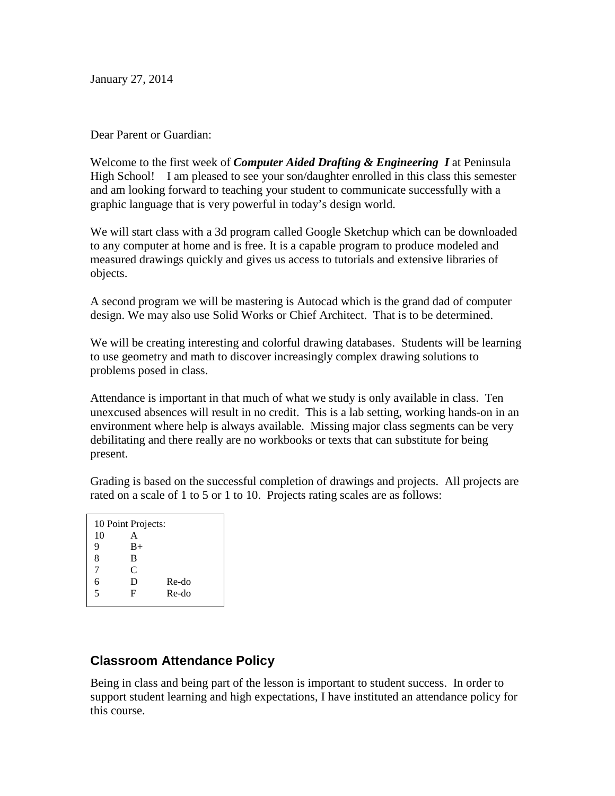January 27, 2014

### Dear Parent or Guardian:

Welcome to the first week of *Computer Aided Drafting & Engineering I* at Peninsula High School! I am pleased to see your son/daughter enrolled in this class this semester and am looking forward to teaching your student to communicate successfully with a graphic language that is very powerful in today's design world.

We will start class with a 3d program called Google Sketchup which can be downloaded to any computer at home and is free. It is a capable program to produce modeled and measured drawings quickly and gives us access to tutorials and extensive libraries of objects.

A second program we will be mastering is Autocad which is the grand dad of computer design. We may also use Solid Works or Chief Architect. That is to be determined.

We will be creating interesting and colorful drawing databases. Students will be learning to use geometry and math to discover increasingly complex drawing solutions to problems posed in class.

Attendance is important in that much of what we study is only available in class. Ten unexcused absences will result in no credit. This is a lab setting, working hands-on in an environment where help is always available. Missing major class segments can be very debilitating and there really are no workbooks or texts that can substitute for being present.

Grading is based on the successful completion of drawings and projects. All projects are rated on a scale of 1 to 5 or 1 to 10. Projects rating scales are as follows:

| 10 Point Projects: |      |       |
|--------------------|------|-------|
| 10                 | А    |       |
| 9                  | $B+$ |       |
| 8                  | B    |       |
| 7                  | C    |       |
| 6                  | D    | Re-do |
| $\overline{5}$     | F    | Re-do |
|                    |      |       |

## **Classroom Attendance Policy**

Being in class and being part of the lesson is important to student success. In order to support student learning and high expectations, I have instituted an attendance policy for this course.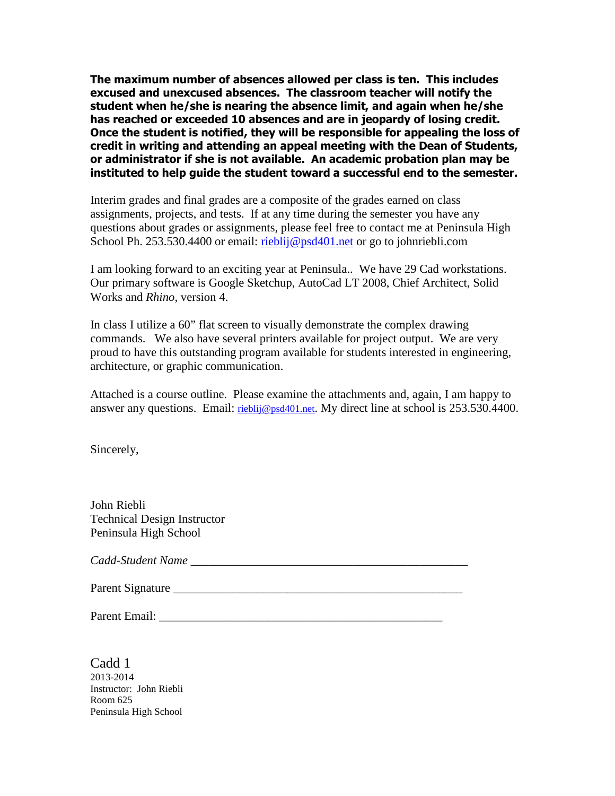**The maximum number of absences allowed per class is ten. This includes excused and unexcused absences. The classroom teacher will notify the student when he/she is nearing the absence limit, and again when he/she has reached or exceeded 10 absences and are in jeopardy of losing credit. Once the student is notified, they will be responsible for appealing the loss of credit in writing and attending an appeal meeting with the Dean of Students, or administrator if she is not available. An academic probation plan may be instituted to help guide the student toward a successful end to the semester.** 

Interim grades and final grades are a composite of the grades earned on class assignments, projects, and tests. If at any time during the semester you have any questions about grades or assignments, please feel free to contact me at Peninsula High School Ph. 253.530.4400 or email: rieblij@psd401.net or go to johnriebli.com

I am looking forward to an exciting year at Peninsula.. We have 29 Cad workstations. Our primary software is Google Sketchup, AutoCad LT 2008, Chief Architect, Solid Works and *Rhino*, version 4.

In class I utilize a 60" flat screen to visually demonstrate the complex drawing commands. We also have several printers available for project output. We are very proud to have this outstanding program available for students interested in engineering, architecture, or graphic communication.

Attached is a course outline. Please examine the attachments and, again, I am happy to answer any questions. Email: rieblij@psd401.net. My direct line at school is 253.530.4400.

Sincerely,

John Riebli Technical Design Instructor Peninsula High School

*Cadd-Student Name \_\_\_\_\_\_\_\_\_\_\_\_\_\_\_\_\_\_\_\_\_\_\_\_\_\_\_\_\_\_\_\_\_\_\_\_\_\_\_\_\_\_\_\_\_\_* 

Parent Signature \_\_\_\_\_\_\_\_\_\_\_\_\_\_\_\_\_\_\_\_\_\_\_\_\_\_\_\_\_\_\_\_\_\_\_\_\_\_\_\_\_\_\_\_\_\_\_\_

Parent Email: \_\_\_\_\_\_\_\_\_\_\_\_\_\_\_\_\_\_\_\_\_\_\_\_\_\_\_\_\_\_\_\_\_\_\_\_\_\_\_\_\_\_\_\_\_\_\_

Cadd 1 2013-2014 Instructor: John Riebli Room 625 Peninsula High School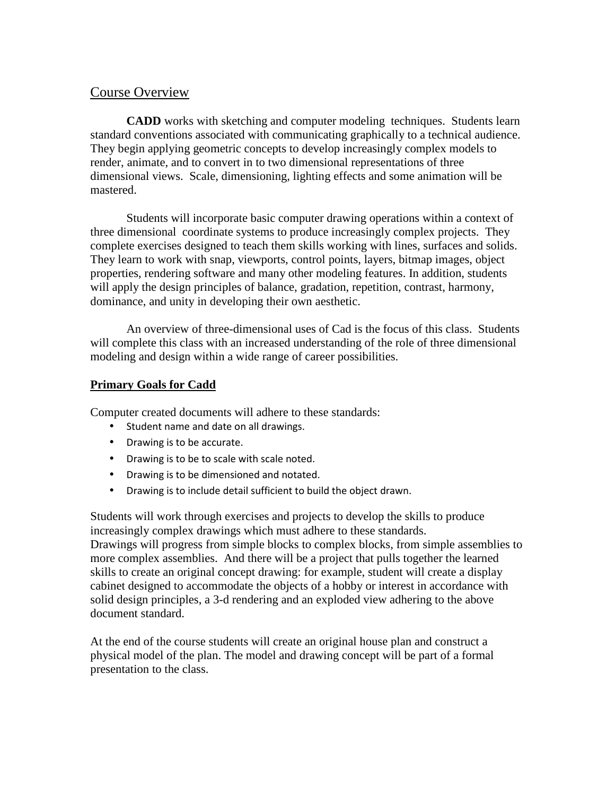### Course Overview

**CADD** works with sketching and computer modeling techniques. Students learn standard conventions associated with communicating graphically to a technical audience. They begin applying geometric concepts to develop increasingly complex models to render, animate, and to convert in to two dimensional representations of three dimensional views. Scale, dimensioning, lighting effects and some animation will be mastered.

Students will incorporate basic computer drawing operations within a context of three dimensional coordinate systems to produce increasingly complex projects. They complete exercises designed to teach them skills working with lines, surfaces and solids. They learn to work with snap, viewports, control points, layers, bitmap images, object properties, rendering software and many other modeling features. In addition, students will apply the design principles of balance, gradation, repetition, contrast, harmony, dominance, and unity in developing their own aesthetic.

An overview of three-dimensional uses of Cad is the focus of this class. Students will complete this class with an increased understanding of the role of three dimensional modeling and design within a wide range of career possibilities.

### **Primary Goals for Cadd**

Computer created documents will adhere to these standards:

- Student name and date on all drawings.
- Drawing is to be accurate.
- Drawing is to be to scale with scale noted.
- Drawing is to be dimensioned and notated.
- Drawing is to include detail sufficient to build the object drawn.

Students will work through exercises and projects to develop the skills to produce increasingly complex drawings which must adhere to these standards. Drawings will progress from simple blocks to complex blocks, from simple assemblies to more complex assemblies. And there will be a project that pulls together the learned skills to create an original concept drawing: for example, student will create a display cabinet designed to accommodate the objects of a hobby or interest in accordance with solid design principles, a 3-d rendering and an exploded view adhering to the above document standard.

At the end of the course students will create an original house plan and construct a physical model of the plan. The model and drawing concept will be part of a formal presentation to the class.